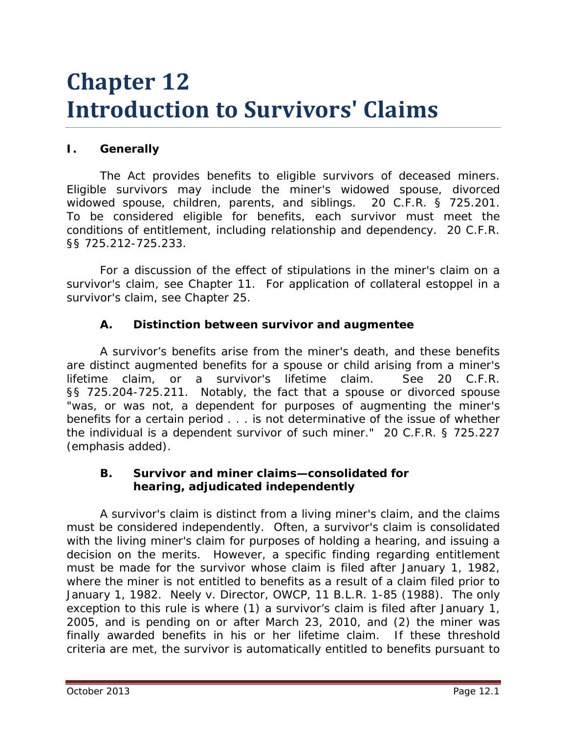# **Chapter 12 Introduction to Survivors' Claims**

## **I. Generally**

The Act provides benefits to eligible survivors of deceased miners. Eligible survivors may include the miner's widowed spouse, divorced widowed spouse, children, parents, and siblings. 20 C.F.R. § 725.201. To be considered eligible for benefits, each survivor must meet the conditions of entitlement, including relationship and dependency. 20 C.F.R. §§ 725.212-725.233.

For a discussion of the effect of stipulations in the miner's claim on a survivor's claim, *see* Chapter 11. For application of collateral estoppel in a survivor's claim, *see* Chapter 25.

## **A. Distinction between survivor and augmentee**

A survivor's benefits arise from the miner's death, and these benefits are distinct *augmented* benefits for a spouse or child arising from a miner's lifetime claim, or a survivor's lifetime claim. *See* 20 C.F.R. §§ 725.204-725.211. Notably, the fact that a spouse or divorced spouse "was, or was not, a dependent for purposes of *augmenting* the miner's benefits for a certain period . . . is not determinative of the issue of whether the individual is a dependent survivor of such miner." 20 C.F.R. § 725.227 (emphasis added).

#### **B. Survivor and miner claims—consolidated for hearing, adjudicated independently**

A survivor's claim is distinct from a living miner's claim, and the claims must be considered independently. Often, a survivor's claim is consolidated with the living miner's claim for purposes of holding a hearing, and issuing a decision on the merits. However, a specific finding regarding entitlement must be made for the survivor whose claim is filed after January 1, 1982, where the miner is not entitled to benefits as a result of a claim filed prior to January 1, 1982. *Neely v. Director, OWCP*, 11 B.L.R. 1-85 (1988). The only exception to this rule is where (1) a survivor's claim is filed after January 1, 2005, and is pending on or after March 23, 2010, and (2) the miner was finally awarded benefits in his or her lifetime claim. If these threshold criteria are met, the survivor is automatically entitled to benefits pursuant to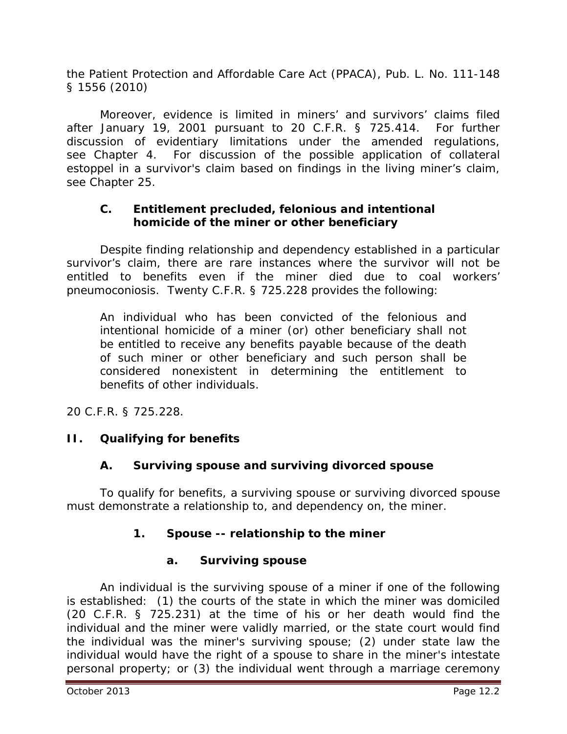the Patient Protection and Affordable Care Act (PPACA), Pub. L. No. 111-148 § 1556 (2010)

Moreover, evidence is limited in miners' and survivors' claims filed after January 19, 2001 pursuant to 20 C.F.R. § 725.414. For further discussion of evidentiary limitations under the amended regulations, *see* Chapter 4. For discussion of the possible application of collateral estoppel in a survivor's claim based on findings in the living miner's claim, *see* Chapter 25.

## **C. Entitlement precluded, felonious and intentional homicide of the miner or other beneficiary**

Despite finding relationship and dependency established in a particular survivor's claim, there are rare instances where the survivor will not be entitled to benefits even if the miner died due to coal workers' pneumoconiosis. Twenty C.F.R. § 725.228 provides the following:

An individual who has been convicted of the felonious and intentional homicide of a miner (or) other beneficiary shall not be entitled to receive any benefits payable because of the death of such miner or other beneficiary and such person shall be considered nonexistent in determining the entitlement to benefits of other individuals.

20 C.F.R. § 725.228.

# **II. Qualifying for benefits**

# **A. Surviving spouse and surviving divorced spouse**

To qualify for benefits, a surviving spouse or surviving divorced spouse must demonstrate a relationship to, and dependency on, the miner.

# **1. Spouse -- relationship to the miner**

## **a. Surviving spouse**

An individual is the surviving spouse of a miner if one of the following is established: (1) the courts of the state in which the miner was domiciled (20 C.F.R. § 725.231) at the time of his or her death would find the individual and the miner were validly married, or the state court would find the individual was the miner's surviving spouse; (2) under state law the individual would have the right of a spouse to share in the miner's intestate personal property; or (3) the individual went through a marriage ceremony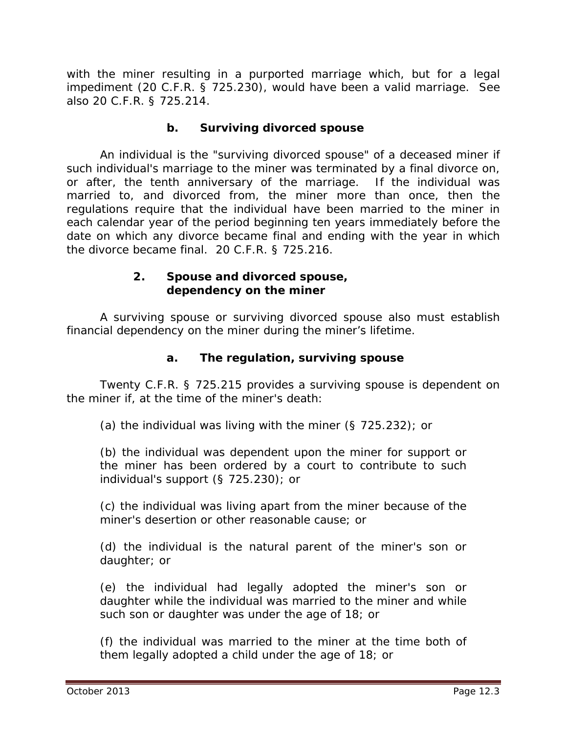with the miner resulting in a purported marriage which, but for a legal impediment (20 C.F.R. § 725.230), would have been a valid marriage. *See also* 20 C.F.R. § 725.214.

#### **b. Surviving divorced spouse**

An individual is the "surviving divorced spouse" of a deceased miner if such individual's marriage to the miner was terminated by a final divorce on, or after, the tenth anniversary of the marriage. If the individual was married to, and divorced from, the miner more than once, then the regulations require that the individual have been married to the miner in each calendar year of the period beginning ten years immediately before the date on which any divorce became final and ending with the year in which the divorce became final. 20 C.F.R. § 725.216.

#### **2. Spouse and divorced spouse, dependency on the miner**

A surviving spouse or surviving divorced spouse also must establish financial dependency on the miner during the miner's lifetime.

## **a. The regulation, surviving spouse**

Twenty C.F.R. § 725.215 provides a surviving spouse is dependent on the miner if, at the time of the miner's death:

(a) the individual was living with the miner (§ 725.232); or

(b) the individual was dependent upon the miner for support or the miner has been ordered by a court to contribute to such individual's support (§ 725.230); or

(c) the individual was living apart from the miner because of the miner's desertion or other reasonable cause; or

(d) the individual is the natural parent of the miner's son or daughter; or

(e) the individual had legally adopted the miner's son or daughter while the individual was married to the miner and while such son or daughter was under the age of 18; or

(f) the individual was married to the miner at the time both of them legally adopted a child under the age of 18; or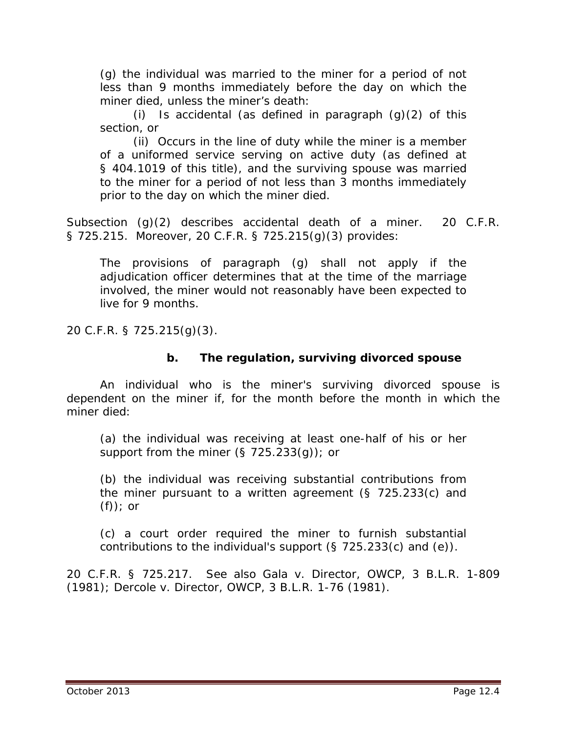(g) the individual was married to the miner for a period of not less than 9 months immediately before the day on which the miner died, unless the miner's death:

(i) Is accidental (as defined in paragraph  $(q)(2)$  of this section, or

(ii) Occurs in the line of duty while the miner is a member of a uniformed service serving on active duty (as defined at § 404.1019 of this title), and the surviving spouse was married to the miner for a period of not less than 3 months immediately prior to the day on which the miner died.

Subsection (g)(2) describes accidental death of a miner. 20 C.F.R. § 725.215. Moreover, 20 C.F.R. § 725.215(g)(3) provides:

The provisions of paragraph (g) shall not apply if the adjudication officer determines that at the time of the marriage involved, the miner would not reasonably have been expected to live for 9 months.

20 C.F.R. § 725.215(g)(3).

#### **b. The regulation, surviving divorced spouse**

An individual who is the miner's surviving divorced spouse is dependent on the miner if, for the month before the month in which the miner died:

(a) the individual was receiving at least one-half of his or her support from the miner  $(\S$  725.233(q)); or

(b) the individual was receiving substantial contributions from the miner pursuant to a written agreement (§ 725.233(c) and (f)); or

(c) a court order required the miner to furnish substantial contributions to the individual's support (§ 725.233(c) and (e)).

20 C.F.R. § 725.217. *See also Gala v. Director, OWCP*, 3 B.L.R. 1-809 (1981); *Dercole v. Director, OWCP*, 3 B.L.R. 1-76 (1981).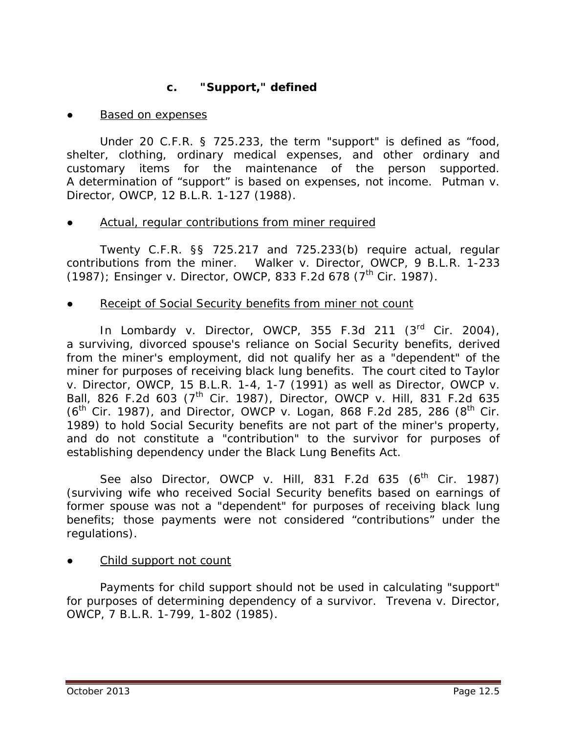## **c. "Support," defined**

**Based on expenses** 

Under 20 C.F.R. § 725.233, the term "support" is defined as "food, shelter, clothing, ordinary medical expenses, and other ordinary and customary items for the maintenance of the person supported. A determination of "support" is based on expenses, not income. *Putman v. Director, OWCP*, 12 B.L.R. 1-127 (1988).

Actual, regular contributions from miner required

Twenty C.F.R. §§ 725.217 and 725.233(b) require actual, regular contributions from the miner. *Walker v. Director, OWCP*, 9 B.L.R. 1-233 (1987); *Ensinger v. Director, OWCP*, 833 F.2d 678 (7<sup>th</sup> Cir. 1987).

## Receipt of Social Security benefits from miner not count

In *Lombardy v. Director, OWCP*, 355 F.3d 211 (3rd Cir. 2004), a surviving, divorced spouse's reliance on Social Security benefits, derived from the miner's employment, did not qualify her as a "dependent" of the miner for purposes of receiving black lung benefits. The court cited to *Taylor v. Director, OWCP*, 15 B.L.R. 1-4, 1-7 (1991) as well as *Director, OWCP v. Ball*, 826 F.2d 603 (7th Cir. 1987), *Director, OWCP v. Hill*, 831 F.2d 635 (6<sup>th</sup> Cir. 1987), and *Director, OWCP v. Logan*, 868 F.2d 285, 286 (8<sup>th</sup> Cir. 1989) to hold Social Security benefits are not part of the miner's property, and do not constitute a "contribution" to the survivor for purposes of establishing dependency under the Black Lung Benefits Act.

*See also Director, OWCP v. Hill*, 831 F.2d 635 (6<sup>th</sup> Cir. 1987). (surviving wife who received Social Security benefits based on earnings of former spouse was not a "dependent" for purposes of receiving black lung benefits; those payments were not considered "contributions" under the regulations).

Child support not count

Payments for child support should not be used in calculating "support" for purposes of determining dependency of a survivor. *Trevena v. Director, OWCP*, 7 B.L.R. 1-799, 1-802 (1985).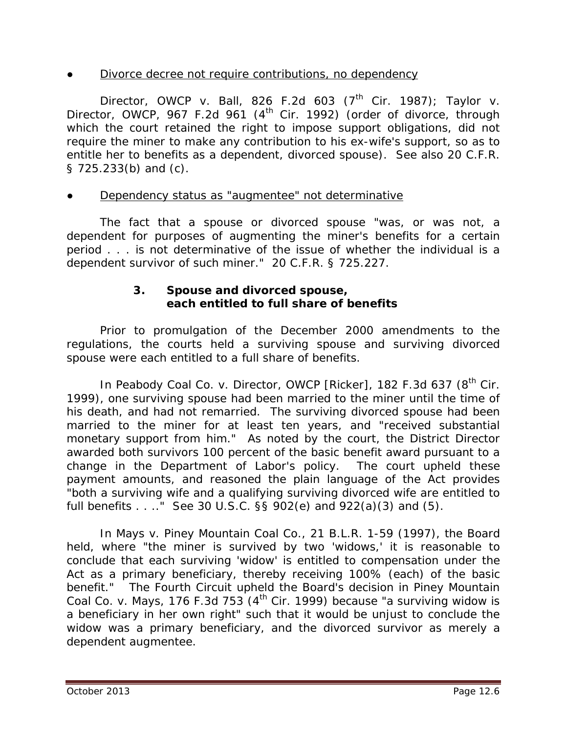#### Divorce decree not require contributions, no dependency

*Director, OWCP v. Ball, 826 F.2d 603 (7<sup>th</sup> Cir. 1987); Taylor v. Director, OWCP*, 967 F.2d 961 (4<sup>th</sup> Cir. 1992) (order of divorce, through which the court retained the right to impose support obligations, did not require the miner to make any contribution to his ex-wife's support, so as to entitle her to benefits as a dependent, divorced spouse). *See also* 20 C.F.R. § 725.233(b) and (c).

#### Dependency status as "augmentee" not determinative

The fact that a spouse or divorced spouse "was, or was not, a dependent for purposes of augmenting the miner's benefits for a certain period . . . is not determinative of the issue of whether the individual is a dependent survivor of such miner." 20 C.F.R. § 725.227.

#### **3. Spouse and divorced spouse, each entitled to full share of benefits**

Prior to promulgation of the December 2000 amendments to the regulations, the courts held a surviving spouse and surviving divorced spouse were each entitled to a full share of benefits.

In *Peabody Coal Co. v. Director, OWCP [Ricker]*, 182 F.3d 637 (8<sup>th</sup> Cir. 1999), one surviving spouse had been married to the miner until the time of his death, and had not remarried. The surviving divorced spouse had been married to the miner for at least ten years, and "received substantial monetary support from him." As noted by the court, the District Director awarded both survivors 100 percent of the basic benefit award pursuant to a change in the Department of Labor's policy. The court upheld these payment amounts, and reasoned the plain language of the Act provides "both a surviving wife and a qualifying surviving divorced wife are entitled to full benefits . . .." *See* 30 U.S.C. §§ 902(e) and 922(a)(3) and (5).

In *Mays v. Piney Mountain Coal Co.*, 21 B.L.R. 1-59 (1997), the Board held, where "the miner is survived by two 'widows,' it is reasonable to conclude that each surviving 'widow' is entitled to compensation under the Act as a primary beneficiary, thereby receiving 100% (each) of the basic benefit." The Fourth Circuit upheld the Board's decision in *Piney Mountain Coal Co. v. Mays*, 176 F.3d 753 (4<sup>th</sup> Cir. 1999) because "a surviving widow is a beneficiary in her own right" such that it would be unjust to conclude the widow was a primary beneficiary, and the divorced survivor as merely a dependent augmentee.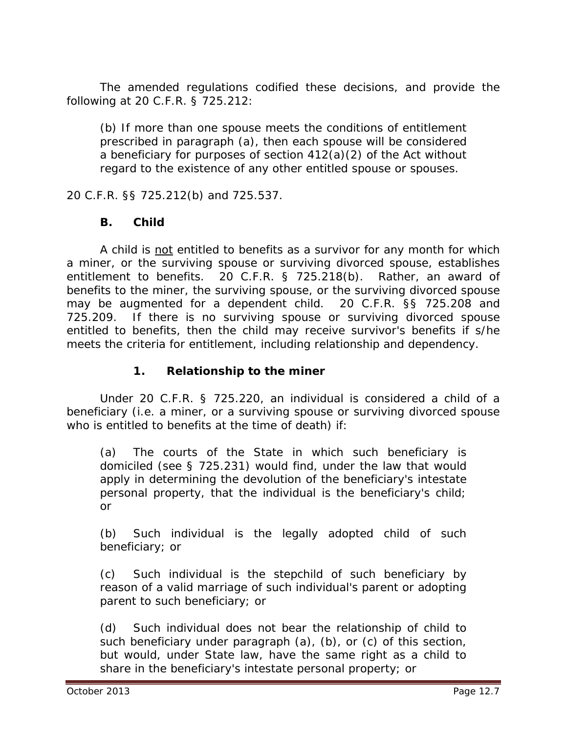The amended regulations codified these decisions, and provide the following at 20 C.F.R. § 725.212:

(b) If more than one spouse meets the conditions of entitlement prescribed in paragraph (a), then each spouse will be considered a beneficiary for purposes of section 412(a)(2) of the Act without regard to the existence of any other entitled spouse or spouses.

20 C.F.R. §§ 725.212(b) and 725.537.

#### **B. Child**

A child is not entitled to benefits as a survivor for any month for which a miner, or the surviving spouse or surviving divorced spouse, establishes entitlement to benefits. 20 C.F.R. § 725.218(b). Rather, an award of benefits to the miner, the surviving spouse, or the surviving divorced spouse may be augmented for a dependent child. 20 C.F.R. §§ 725.208 and 725.209. If there is no surviving spouse or surviving divorced spouse entitled to benefits, then the child may receive survivor's benefits if s/he meets the criteria for entitlement, including relationship and dependency.

## **1. Relationship to the miner**

Under 20 C.F.R. § 725.220, an individual is considered a child of a beneficiary (*i.e.* a miner, or a surviving spouse or surviving divorced spouse who is entitled to benefits at the time of death) if:

(a) The courts of the State in which such beneficiary is domiciled (see § 725.231) would find, under the law that would apply in determining the devolution of the beneficiary's intestate personal property, that the individual is the beneficiary's child; or

(b) Such individual is the legally adopted child of such beneficiary; or

(c) Such individual is the stepchild of such beneficiary by reason of a valid marriage of such individual's parent or adopting parent to such beneficiary; or

(d) Such individual does not bear the relationship of child to such beneficiary under paragraph (a), (b), or (c) of this section, but would, under State law, have the same right as a child to share in the beneficiary's intestate personal property; or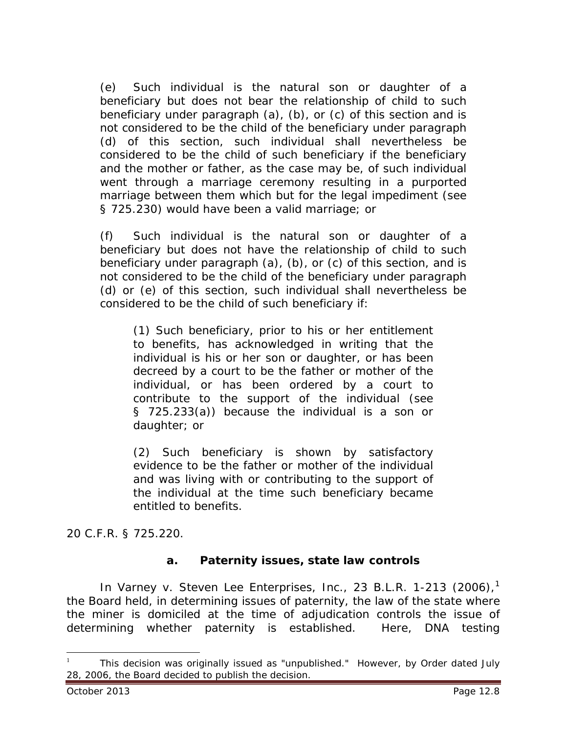(e) Such individual is the natural son or daughter of a beneficiary but does not bear the relationship of child to such beneficiary under paragraph (a), (b), or (c) of this section and is not considered to be the child of the beneficiary under paragraph (d) of this section, such individual shall nevertheless be considered to be the child of such beneficiary if the beneficiary and the mother or father, as the case may be, of such individual went through a marriage ceremony resulting in a purported marriage between them which but for the legal impediment (see § 725.230) would have been a valid marriage; or

(f) Such individual is the natural son or daughter of a beneficiary but does not have the relationship of child to such beneficiary under paragraph (a), (b), or (c) of this section, and is not considered to be the child of the beneficiary under paragraph (d) or (e) of this section, such individual shall nevertheless be considered to be the child of such beneficiary if:

(1) Such beneficiary, prior to his or her entitlement to benefits, has acknowledged in writing that the individual is his or her son or daughter, or has been decreed by a court to be the father or mother of the individual, or has been ordered by a court to contribute to the support of the individual (see § 725.233(a)) because the individual is a son or daughter; or

(2) Such beneficiary is shown by satisfactory evidence to be the father or mother of the individual and was living with or contributing to the support of the individual at the time such beneficiary became entitled to benefits.

20 C.F.R. § 725.220.

#### **a. Paternity issues, state law controls**

In *Varney v. Steven Lee Enterprises, Inc.*, 23 B.L.R. 1-213 (2006), [1](#page-7-0) the Board held, in determining issues of paternity, the law of the state where the miner is domiciled at the time of adjudication controls the issue of determining whether paternity is established. Here, DNA testing

<span id="page-7-0"></span><sup>1</sup> This decision was originally issued as "unpublished." However, by *Order* dated July 28, 2006, the Board decided to publish the decision.  $\overline{a}$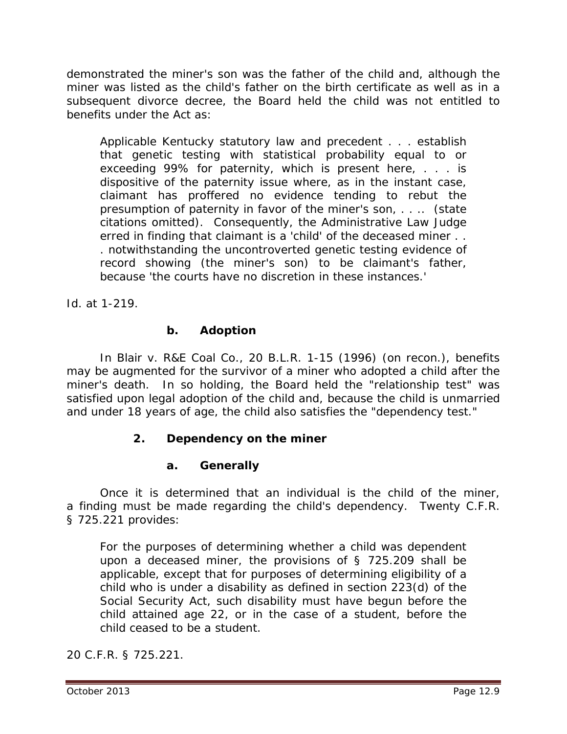demonstrated the miner's son was the father of the child and, although the miner was listed as the child's father on the birth certificate as well as in a subsequent divorce decree, the Board held the child was not entitled to benefits under the Act as:

Applicable Kentucky statutory law and precedent . . . establish that genetic testing with statistical probability equal to or exceeding 99% for paternity, which is present here, . . . is dispositive of the paternity issue where, as in the instant case, claimant has proffered no evidence tending to rebut the presumption of paternity in favor of the miner's son, . . .. (state citations omitted). Consequently, the Administrative Law Judge erred in finding that claimant is a 'child' of the deceased miner . . . notwithstanding the uncontroverted genetic testing evidence of record showing (the miner's son) to be claimant's father, because 'the courts have no discretion in these instances.'

*Id.* at 1-219.

#### **b. Adoption**

In *Blair v. R&E Coal Co.*, 20 B.L.R. 1-15 (1996) (on recon.), benefits may be augmented for the survivor of a miner who adopted a child after the miner's death. In so holding, the Board held the "relationship test" was satisfied upon legal adoption of the child and, because the child is unmarried and under 18 years of age, the child also satisfies the "dependency test."

## **2. Dependency on the miner**

#### **a. Generally**

Once it is determined that an individual is the child of the miner, a finding must be made regarding the child's dependency. Twenty C.F.R. § 725.221 provides:

For the purposes of determining whether a child was dependent upon a deceased miner, the provisions of § 725.209 shall be applicable, except that for purposes of determining eligibility of a child who is under a disability as defined in section 223(d) of the Social Security Act, such disability must have begun before the child attained age 22, or in the case of a student, before the child ceased to be a student.

20 C.F.R. § 725.221.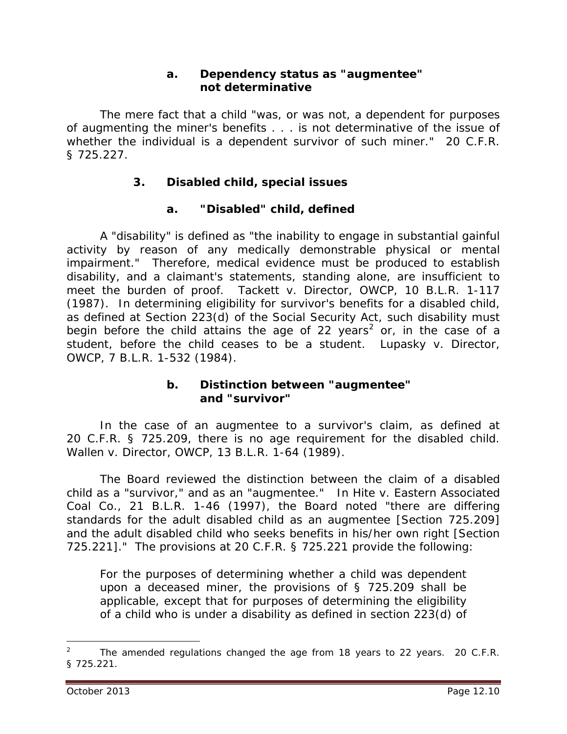#### **a. Dependency status as "augmentee" not determinative**

The mere fact that a child "was, or was not, a dependent for purposes of augmenting the miner's benefits . . . is not determinative of the issue of whether the individual is a dependent survivor of such miner." 20 C.F.R. § 725.227.

## **3. Disabled child, special issues**

## **a. "Disabled" child, defined**

A "disability" is defined as "the inability to engage in substantial gainful activity by reason of any medically demonstrable physical or mental impairment." Therefore, medical evidence must be produced to establish disability, and a claimant's statements, standing alone, are insufficient to meet the burden of proof. *Tackett v. Director, OWCP*, 10 B.L.R. 1-117 (1987). In determining eligibility for survivor's benefits for a *disabled* child, as defined at Section 223(d) of the Social Security Act, such disability must begin before the child attains the age of [2](#page-9-0)2 years<sup>2</sup> or, in the case of a student, before the child ceases to be a student. *Lupasky v. Director, OWCP*, 7 B.L.R. 1-532 (1984).

#### **b. Distinction between "augmentee" and "survivor"**

In the case of an augmentee to a survivor's claim, as defined at 20 C.F.R. § 725.209, there is no age requirement for the disabled child. *Wallen v. Director, OWCP,* 13 B.L.R. 1-64 (1989).

The Board reviewed the distinction between the claim of a disabled child as a "survivor," and as an "augmentee." In *Hite v. Eastern Associated Coal Co.*, 21 B.L.R. 1-46 (1997), the Board noted "there are differing standards for the adult disabled child as an augmentee [Section 725.209] and the adult disabled child who seeks benefits in his/her own right [Section 725.221]." The provisions at 20 C.F.R. § 725.221 provide the following:

For the purposes of determining whether a child was dependent upon a deceased miner, the provisions of § 725.209 shall be applicable, except that for purposes of determining the eligibility of a child who is under a disability as defined in section 223(d) of

 $\overline{a}$ 

<span id="page-9-0"></span><sup>2</sup> The amended regulations changed the age from 18 years to 22 years. 20 C.F.R. § 725.221.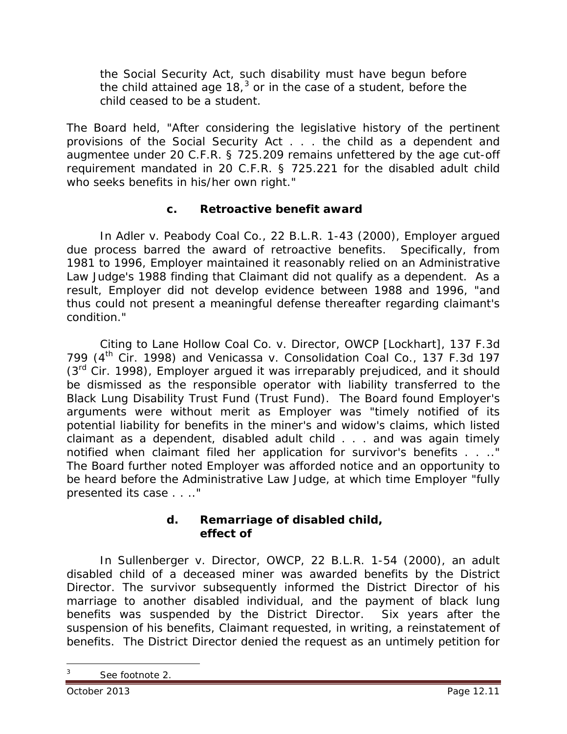the Social Security Act, such disability must have begun before the child attained age 18, $3$  or in the case of a student, before the child ceased to be a student.

The Board held, "After considering the legislative history of the pertinent provisions of the Social Security Act . . . the child as a dependent and augmentee under 20 C.F.R. § 725.209 remains unfettered by the age cut-off requirement mandated in 20 C.F.R. § 725.221 for the disabled adult child who seeks benefits in his/her own right."

## **c. Retroactive benefit award**

In *Adler v. Peabody Coal Co.*, 22 B.L.R. 1-43 (2000), Employer argued due process barred the award of retroactive benefits. Specifically, from 1981 to 1996, Employer maintained it reasonably relied on an Administrative Law Judge's 1988 finding that Claimant did not qualify as a dependent. As a result, Employer did not develop evidence between 1988 and 1996, "and thus could not present a meaningful defense thereafter regarding claimant's condition."

Citing to *Lane Hollow Coal Co. v. Director, OWCP [Lockhart]*, 137 F.3d 799 (4th Cir. 1998) and *Venicassa v. Consolidation Coal Co.*, 137 F.3d 197  $(3<sup>rd</sup>$  Cir. 1998), Employer argued it was irreparably prejudiced, and it should be dismissed as the responsible operator with liability transferred to the Black Lung Disability Trust Fund (Trust Fund). The Board found Employer's arguments were without merit as Employer was "timely notified of its potential liability for benefits in the miner's and widow's claims, which listed claimant as a dependent, disabled adult child . . . and was again timely notified when claimant filed her application for survivor's benefits . . .." The Board further noted Employer was afforded notice and an opportunity to be heard before the Administrative Law Judge, at which time Employer "fully presented its case . . .."

#### **d. Remarriage of disabled child, effect of**

In *Sullenberger v. Director, OWCP*, 22 B.L.R. 1-54 (2000), an adult disabled child of a deceased miner was awarded benefits by the District Director. The survivor subsequently informed the District Director of his marriage to another disabled individual, and the payment of black lung benefits was suspended by the District Director. Six years after the suspension of his benefits, Claimant requested, in writing, a reinstatement of benefits. The District Director denied the request as an untimely petition for

 $\overline{a}$ 

<span id="page-10-0"></span><sup>3</sup> *See* footnote 2.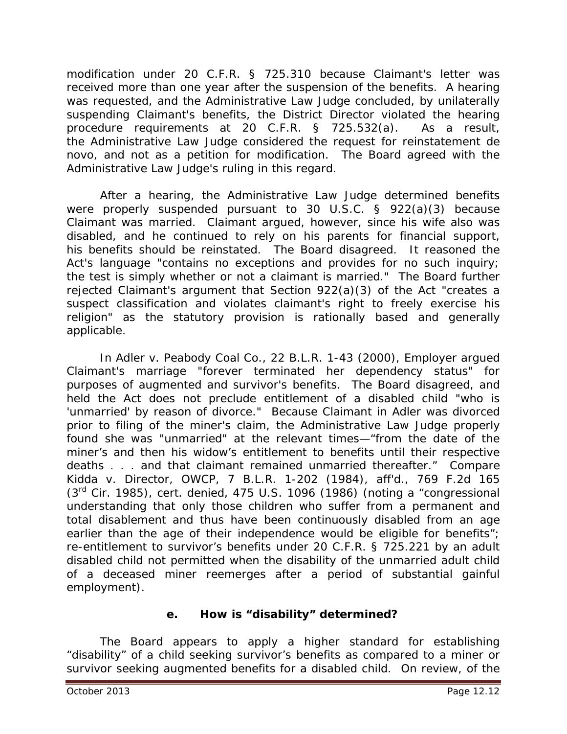modification under 20 C.F.R. § 725.310 because Claimant's letter was received more than one year after the suspension of the benefits. A hearing was requested, and the Administrative Law Judge concluded, by unilaterally suspending Claimant's benefits, the District Director violated the hearing procedure requirements at 20 C.F.R. § 725.532(a). As a result, the Administrative Law Judge considered the request for reinstatement *de novo*, and not as a petition for modification. The Board agreed with the Administrative Law Judge's ruling in this regard.

After a hearing, the Administrative Law Judge determined benefits were properly suspended pursuant to 30 U.S.C. § 922(a)(3) because Claimant was married. Claimant argued, however, since his wife also was disabled, and he continued to rely on his parents for financial support, his benefits should be reinstated. The Board disagreed. It reasoned the Act's language "contains no exceptions and provides for no such inquiry; the test is simply whether or not a claimant is married." The Board further rejected Claimant's argument that Section 922(a)(3) of the Act "creates a suspect classification and violates claimant's right to freely exercise his religion" as the statutory provision is rationally based and generally applicable.

In *Adler v. Peabody Coal Co.*, 22 B.L.R. 1-43 (2000), Employer argued Claimant's marriage "forever terminated her dependency status" for purposes of augmented and survivor's benefits. The Board disagreed, and held the Act does not preclude entitlement of a disabled child "who is 'unmarried' by reason of divorce." Because Claimant in *Adler* was divorced prior to filing of the miner's claim, the Administrative Law Judge properly found she was "unmarried" at the relevant times—"from the date of the miner's and then his widow's entitlement to benefits until their respective deaths . . . and that claimant remained unmarried thereafter." *Compare Kidda v. Director, OWCP*, 7 B.L.R. 1-202 (1984), *aff'd.*, 769 F.2d 165 (3rd Cir. 1985), *cert. denied*, 475 U.S. 1096 (1986) (noting a "congressional understanding that only those children who suffer from a permanent and total disablement and thus have been continuously disabled from an age earlier than the age of their independence would be eligible for benefits"; re-entitlement to survivor's benefits under 20 C.F.R. § 725.221 by an adult disabled child not permitted when the disability of the unmarried adult child of a deceased miner reemerges after a period of substantial gainful employment).

#### **e. How is "disability" determined?**

The Board appears to apply a higher standard for establishing "disability" of a child seeking survivor's benefits as compared to a miner or survivor seeking augmented benefits for a disabled child. On review, of the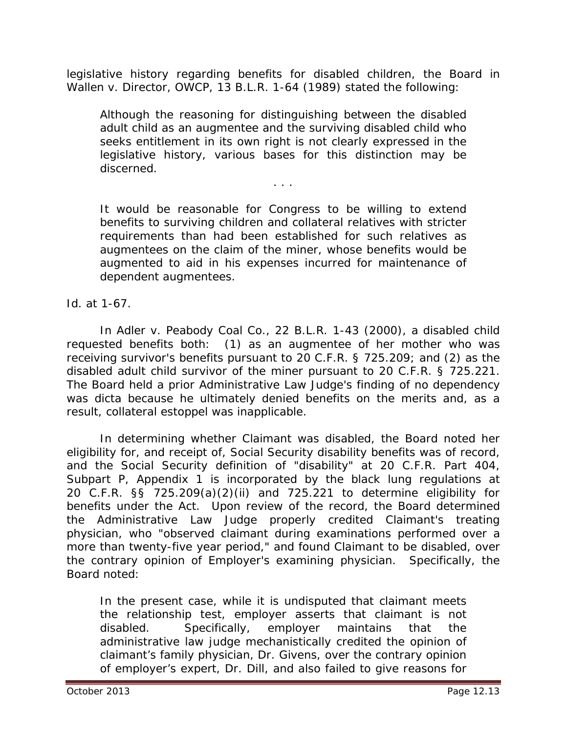legislative history regarding benefits for disabled children, the Board in *Wallen v. Director, OWCP*, 13 B.L.R. 1-64 (1989) stated the following:

Although the reasoning for distinguishing between the disabled adult child as an augmentee and the surviving disabled child who seeks entitlement in its own right is not clearly expressed in the legislative history, various bases for this distinction may be discerned.

. . .

It would be reasonable for Congress to be willing to extend benefits to surviving children and collateral relatives with stricter requirements than had been established for such relatives as augmentees on the claim of the miner, whose benefits would be augmented to aid in his expenses incurred for maintenance of dependent augmentees.

#### *Id.* at 1-67.

In *Adler v. Peabody Coal Co.*, 22 B.L.R. 1-43 (2000), a disabled child requested benefits both: (1) as an augmentee of her mother who was receiving survivor's benefits pursuant to 20 C.F.R. § 725.209; and (2) as the disabled adult child survivor of the miner pursuant to 20 C.F.R. § 725.221. The Board held a prior Administrative Law Judge's finding of no dependency was *dicta* because he ultimately denied benefits on the merits and, as a result, collateral estoppel was inapplicable.

In determining whether Claimant was disabled, the Board noted her eligibility for, and receipt of, Social Security disability benefits was of record, and the Social Security definition of "disability" at 20 C.F.R. Part 404, Subpart P, Appendix 1 is incorporated by the black lung regulations at 20 C.F.R. §§ 725.209(a)(2)(ii) and 725.221 to determine eligibility for benefits under the Act. Upon review of the record, the Board determined the Administrative Law Judge properly credited Claimant's treating physician, who "observed claimant during examinations performed over a more than twenty-five year period," and found Claimant to be disabled, over the contrary opinion of Employer's examining physician. Specifically, the Board noted:

In the present case, while it is undisputed that claimant meets the relationship test, employer asserts that claimant is not disabled. Specifically, employer maintains that the administrative law judge mechanistically credited the opinion of claimant's family physician, Dr. Givens, over the contrary opinion of employer's expert, Dr. Dill, and also failed to give reasons for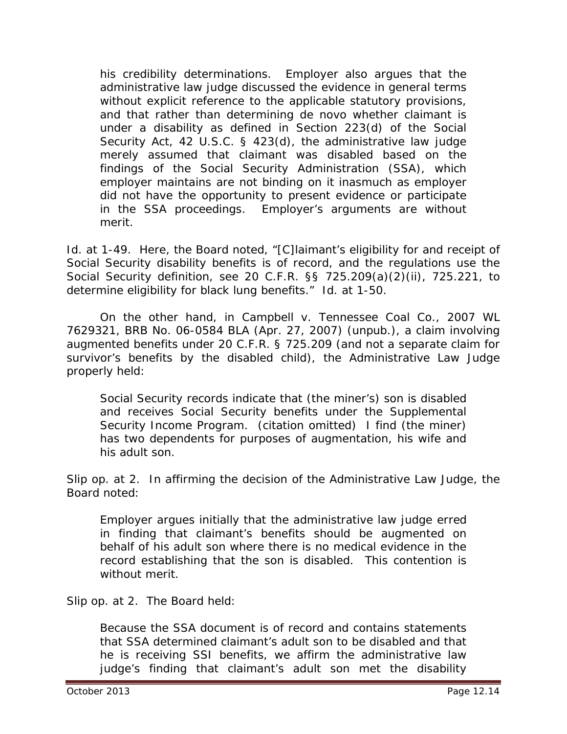his credibility determinations. Employer also argues that the administrative law judge discussed the evidence in general terms without explicit reference to the applicable statutory provisions, and that rather than determining *de novo* whether claimant is under a disability as defined in Section 223(d) of the Social Security Act, 42 U.S.C. § 423(d), the administrative law judge merely assumed that claimant was disabled based on the findings of the Social Security Administration (SSA), which employer maintains are not binding on it inasmuch as employer did not have the opportunity to present evidence or participate in the SSA proceedings. Employer's arguments are without merit.

*Id.* at 1-49. Here, the Board noted, "[C]laimant's eligibility for and receipt of Social Security disability benefits is of record, and the regulations use the Social Security definition, *see* 20 C.F.R. §§ 725.209(a)(2)(ii), 725.221, to determine eligibility for black lung benefits." *Id.* at 1-50.

On the other hand, in *Campbell v. Tennessee Coal Co.*, 2007 WL 7629321, BRB No. 06-0584 BLA (Apr. 27, 2007) (unpub.), a claim involving augmented benefits under 20 C.F.R. § 725.209 (and not a separate claim for survivor's benefits by the disabled child), the Administrative Law Judge properly held:

Social Security records indicate that (the miner's) son is disabled and receives Social Security benefits under the Supplemental Security Income Program. (citation omitted) I find (the miner) has two dependents for purposes of augmentation, his wife and his adult son.

*Slip op.* at 2. In affirming the decision of the Administrative Law Judge, the Board noted:

Employer argues initially that the administrative law judge erred in finding that claimant's benefits should be augmented on behalf of his adult son where there is no medical evidence in the record establishing that the son is disabled. This contention is without merit.

*Slip op.* at 2. The Board held:

Because the SSA document is of record and contains statements that SSA determined claimant's adult son to be disabled and that he is receiving SSI benefits, we affirm the administrative law judge's finding that claimant's adult son met the disability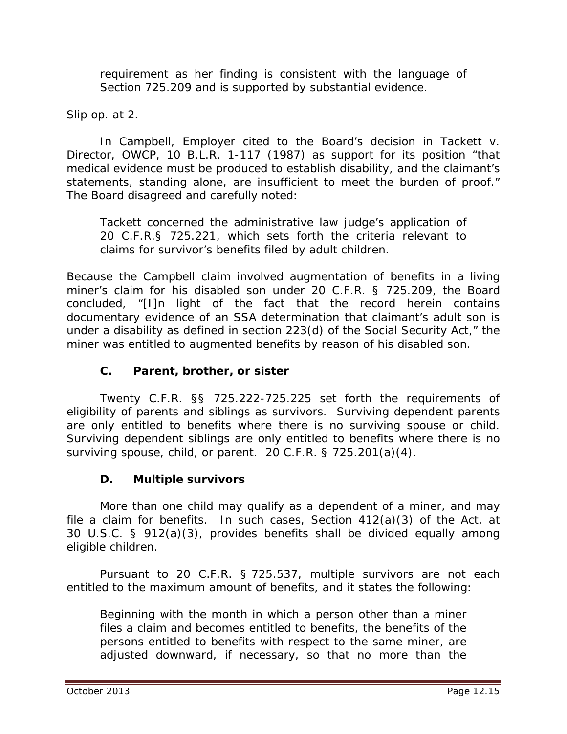requirement as her finding is consistent with the language of Section 725.209 and is supported by substantial evidence.

*Slip op.* at 2.

In *Campbell*, Employer cited to the Board's decision in *Tackett v. Director, OWCP*, 10 B.L.R. 1-117 (1987) as support for its position "that medical evidence must be produced to establish disability, and the claimant's statements, standing alone, are insufficient to meet the burden of proof." The Board disagreed and carefully noted:

*Tackett* concerned the administrative law judge's application of 20 C.F.R.§ 725.221, which sets forth the criteria relevant to claims for survivor's benefits filed by adult children.

Because the *Campbell* claim involved augmentation of benefits in a living miner's claim for his disabled son under 20 C.F.R. § 725.209, the Board concluded, "[I]n light of the fact that the record herein contains documentary evidence of an SSA determination that claimant's adult son is under a disability as defined in section 223(d) of the Social Security Act," the miner was entitled to augmented benefits by reason of his disabled son.

## **C. Parent, brother, or sister**

Twenty C.F.R. §§ 725.222-725.225 set forth the requirements of eligibility of parents and siblings as survivors. Surviving dependent parents are only entitled to benefits where there is no surviving spouse or child. Surviving dependent siblings are only entitled to benefits where there is no surviving spouse, child, or parent. 20 C.F.R. § 725.201(a)(4).

## **D. Multiple survivors**

More than one child may qualify as a dependent of a miner, and may file a claim for benefits. In such cases, Section 412(a)(3) of the Act, at 30 U.S.C. § 912(a)(3), provides benefits shall be divided equally among eligible children.

Pursuant to 20 C.F.R. § 725.537, multiple survivors are not each entitled to the maximum amount of benefits, and it states the following:

Beginning with the month in which a person other than a miner files a claim and becomes entitled to benefits, the benefits of the persons entitled to benefits with respect to the same miner, are adjusted downward, if necessary, so that no more than the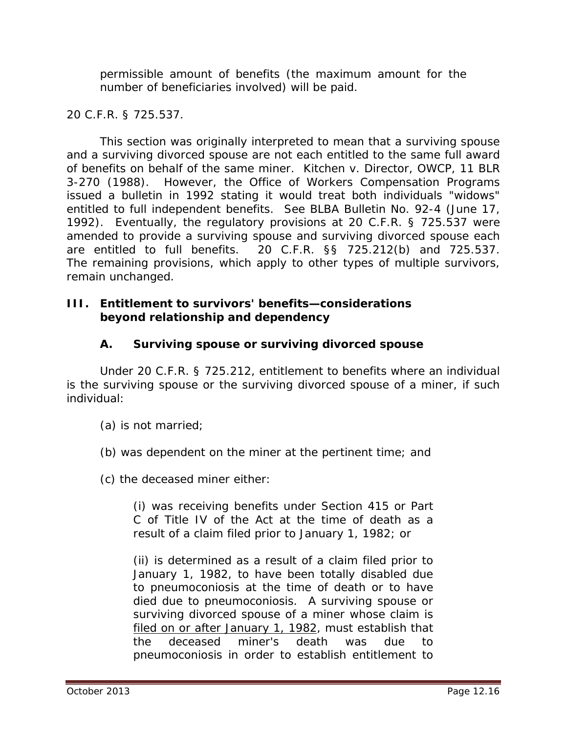permissible amount of benefits (the maximum amount for the number of beneficiaries involved) will be paid.

20 C.F.R. § 725.537.

This section was originally interpreted to mean that a surviving spouse and a surviving divorced spouse are not each entitled to the same full award of benefits on behalf of the same miner. *Kitchen v. Director, OWCP*, 11 BLR 3-270 (1988). However, the Office of Workers Compensation Programs issued a bulletin in 1992 stating it would treat both individuals "widows" entitled to full independent benefits. *See BLBA Bulletin* No. 92-4 (June 17, 1992). Eventually, the regulatory provisions at 20 C.F.R. § 725.537 were amended to provide a surviving spouse and surviving divorced spouse each are entitled to full benefits. 20 C.F.R. §§ 725.212(b) and 725.537. The remaining provisions, which apply to other types of multiple survivors, remain unchanged.

#### **III. Entitlement to survivors' benefits—considerations beyond relationship and dependency**

## **A. Surviving spouse or surviving divorced spouse**

Under 20 C.F.R. § 725.212, entitlement to benefits where an individual is the surviving spouse or the surviving divorced spouse of a miner, if such individual:

- (a) is not married;
- (b) was dependent on the miner at the pertinent time; and

(c) the deceased miner either:

(i) was receiving benefits under Section 415 or Part C of Title IV of the Act at the time of death as a result of a claim filed prior to January 1, 1982; or

(ii) is determined as a result of a claim filed prior to January 1, 1982, to have been totally disabled due to pneumoconiosis at the time of death or to have died due to pneumoconiosis. A surviving spouse or surviving divorced spouse of a miner whose claim is filed on or after January 1, 1982, must establish that the deceased miner's death was due to pneumoconiosis in order to establish entitlement to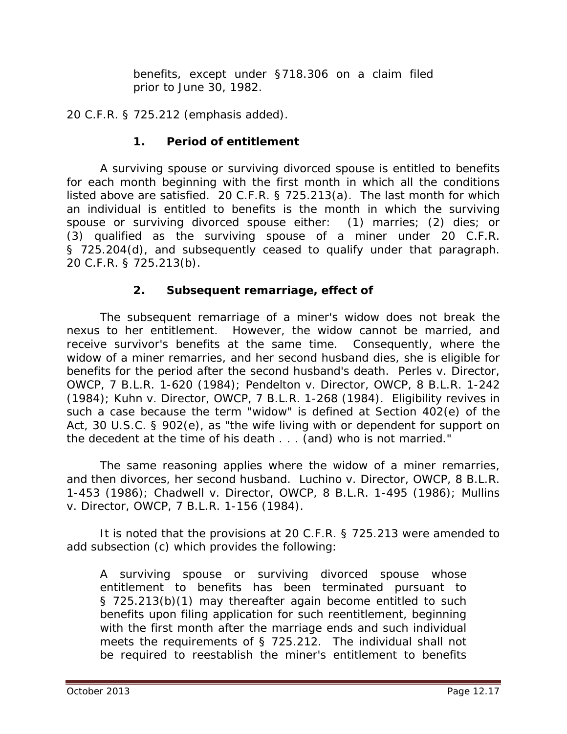benefits, except under §718.306 on a claim filed prior to June 30, 1982.

20 C.F.R. § 725.212 (emphasis added).

## **1. Period of entitlement**

A surviving spouse or surviving divorced spouse is entitled to benefits for each month beginning with the first month in which all the conditions listed above are satisfied. 20 C.F.R. § 725.213(a). The last month for which an individual is entitled to benefits is the month in which the surviving spouse or surviving divorced spouse either: (1) marries; (2) dies; or (3) qualified as the surviving spouse of a miner under 20 C.F.R. § 725.204(d), and subsequently ceased to qualify under that paragraph. 20 C.F.R. § 725.213(b).

## **2. Subsequent remarriage, effect of**

The subsequent remarriage of a miner's widow does not break the nexus to her entitlement. However, the widow cannot be married, and receive survivor's benefits at the same time. Consequently, where the widow of a miner remarries, and her second husband dies, she is eligible for benefits for the period after the second husband's death. *Perles v. Director, OWCP*, 7 B.L.R. 1-620 (1984); *Pendelton v. Director, OWCP*, 8 B.L.R. 1-242 (1984); *Kuhn v. Director, OWCP*, 7 B.L.R. 1-268 (1984). Eligibility revives in such a case because the term "widow" is defined at Section 402(e) of the Act, 30 U.S.C. § 902(e), as "the wife living with or dependent for support on the decedent at the time of his death . . . (and) who is not married."

The same reasoning applies where the widow of a miner remarries, and then divorces, her second husband. *Luchino v. Director, OWCP*, 8 B.L.R. 1-453 (1986); *Chadwell v. Director, OWCP*, 8 B.L.R. 1-495 (1986); *Mullins v. Director, OWCP*, 7 B.L.R. 1-156 (1984).

It is noted that the provisions at 20 C.F.R. § 725.213 were amended to add subsection (c) which provides the following:

A surviving spouse or surviving divorced spouse whose entitlement to benefits has been terminated pursuant to § 725.213(b)(1) may thereafter again become entitled to such benefits upon filing application for such reentitlement, beginning with the first month after the marriage ends and such individual meets the requirements of § 725.212. The individual shall not be required to reestablish the miner's entitlement to benefits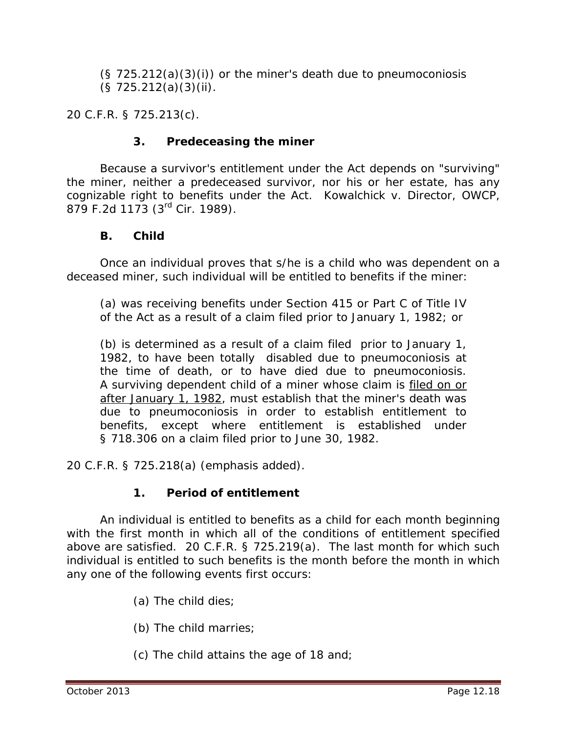$(S 725.212(a)(3)(i))$  or the miner's death due to pneumoconiosis (§ 725.212(a)(3)(ii).

20 C.F.R. § 725.213(c).

## **3. Predeceasing the miner**

Because a survivor's entitlement under the Act depends on "surviving" the miner, neither a predeceased survivor, nor his or her estate, has any cognizable right to benefits under the Act. *Kowalchick v. Director, OWCP*, 879 F.2d 1173 (3rd Cir. 1989).

#### **B. Child**

Once an individual proves that s/he is a child who was dependent on a deceased miner, such individual will be entitled to benefits if the miner:

(a) was receiving benefits under Section 415 or Part C of Title IV of the Act as a result of a claim filed prior to January 1, 1982; or

(b) is determined as a result of a claim filed prior to January 1, 1982, to have been totally disabled due to pneumoconiosis at the time of death, or to have died due to pneumoconiosis. A surviving dependent child of a miner whose claim is filed on or after January 1, 1982, must establish that the miner's death was due to pneumoconiosis in order to establish entitlement to benefits, except where entitlement is established under § 718.306 on a claim filed prior to June 30, 1982.

20 C.F.R. § 725.218(a) (emphasis added).

## **1. Period of entitlement**

An individual is entitled to benefits as a child for each month beginning with the first month in which all of the conditions of entitlement specified above are satisfied. 20 C.F.R. § 725.219(a). The last month for which such individual is entitled to such benefits is the month before the month in which any one of the following events first occurs:

- (a) The child dies;
- (b) The child marries;
- (c) The child attains the age of 18 and;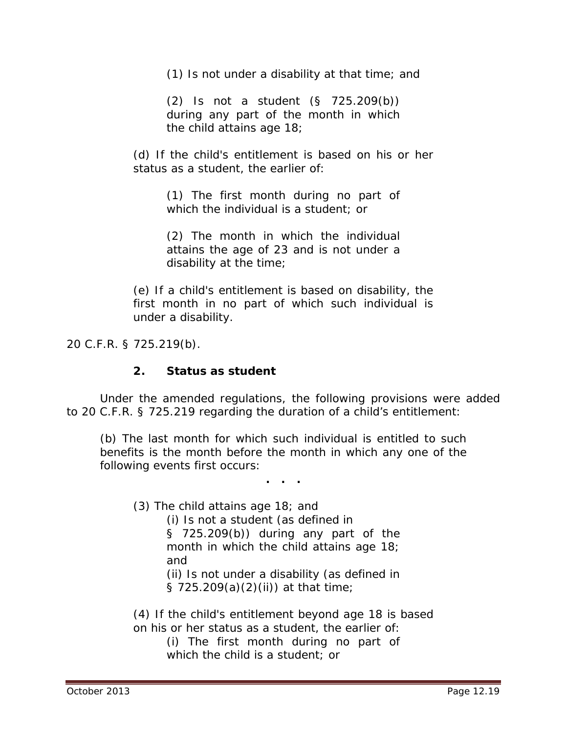(1) Is not under a disability at that time; and

(2) Is not a student (§ 725.209(b)) during any part of the month in which the child attains age 18;

(d) If the child's entitlement is based on his or her status as a student, the earlier of:

> (1) The first month during no part of which the individual is a student; or

> (2) The month in which the individual attains the age of 23 and is not under a disability at the time;

(e) If a child's entitlement is based on disability, the first month in no part of which such individual is under a disability.

20 C.F.R. § 725.219(b).

#### **2. Status as student**

Under the amended regulations, the following provisions were added to 20 C.F.R. § 725.219 regarding the duration of a child's entitlement:

(b) The last month for which such individual is entitled to such benefits is the month before the month in which any one of the following events first occurs:

**. . .**

(3) The child attains age 18; and

(i) Is not a student (as defined in § 725.209(b)) during any part of the

month in which the child attains age 18; and

(ii) Is not under a disability (as defined in § 725.209(a)(2)(ii)) at that time;

(4) If the child's entitlement beyond age 18 is based on his or her status as a student, the earlier of:

> (i) The first month during no part of which the child is a student; or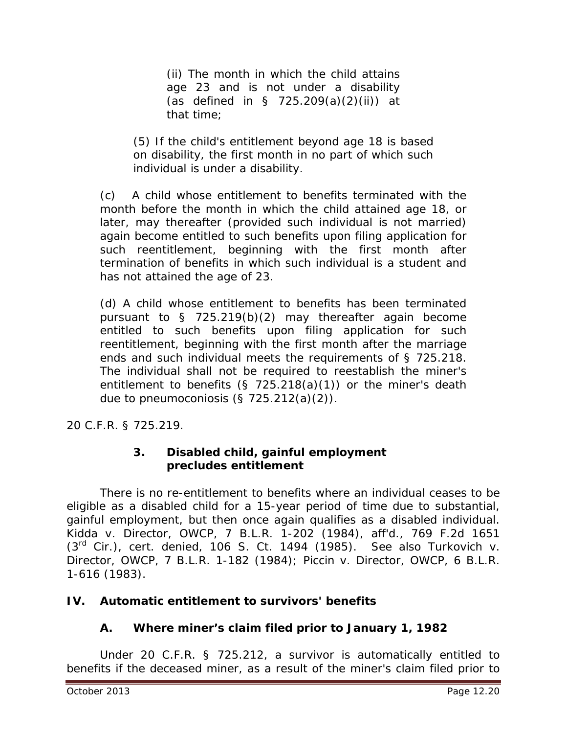(ii) The month in which the child attains age 23 and is not under a disability (as defined in  $\S$  725.209(a)(2)(ii)) at that time;

(5) If the child's entitlement beyond age 18 is based on disability, the first month in no part of which such individual is under a disability.

(c) A child whose entitlement to benefits terminated with the month before the month in which the child attained age 18, or later, may thereafter (provided such individual is not married) again become entitled to such benefits upon filing application for such reentitlement, beginning with the first month after termination of benefits in which such individual is a student and has not attained the age of 23.

(d) A child whose entitlement to benefits has been terminated pursuant to § 725.219(b)(2) may thereafter again become entitled to such benefits upon filing application for such reentitlement, beginning with the first month after the marriage ends and such individual meets the requirements of § 725.218. The individual shall not be required to reestablish the miner's entitlement to benefits (§ 725.218(a)(1)) or the miner's death due to pneumoconiosis  $(§ 725.212(a)(2)).$ 

20 C.F.R. § 725.219.

## **3. Disabled child, gainful employment precludes entitlement**

There is no re-entitlement to benefits where an individual ceases to be eligible as a disabled child for a 15-year period of time due to substantial, gainful employment, but then once again qualifies as a disabled individual. *Kidda v. Director, OWCP*, 7 B.L.R. 1-202 (1984), *aff'd.,* 769 F.2d 1651 (3rd Cir.), *cert. denied*, 106 S. Ct. 1494 (1985). *See also Turkovich v. Director, OWCP*, 7 B.L.R. 1-182 (1984); *Piccin v. Director, OWCP*, 6 B.L.R. 1-616 (1983).

## **IV. Automatic entitlement to survivors' benefits**

## **A. Where miner's claim filed prior to January 1, 1982**

Under 20 C.F.R. § 725.212, a survivor is automatically entitled to benefits if the deceased miner, as a result of the miner's claim filed prior to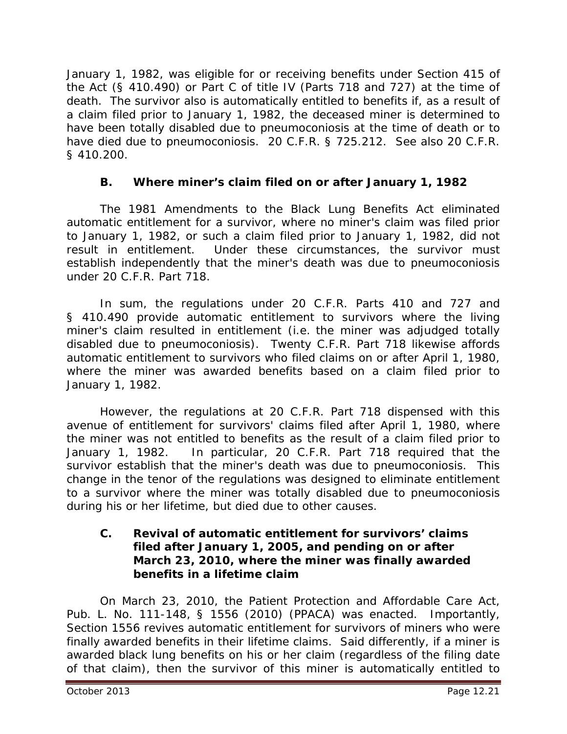January 1, 1982, was eligible for or receiving benefits under Section 415 of the Act (§ 410.490) or Part C of title IV (Parts 718 and 727) at the time of death. The survivor also is automatically entitled to benefits if, as a result of a claim filed prior to January 1, 1982, the deceased miner is determined to have been totally disabled due to pneumoconiosis at the time of death or to have died due to pneumoconiosis. 20 C.F.R. § 725.212. *See also* 20 C.F.R. § 410.200.

## **B. Where miner's claim filed on or after January 1, 1982**

The 1981 Amendments to the Black Lung Benefits Act eliminated automatic entitlement for a survivor, where no miner's claim was filed prior to January 1, 1982, or such a claim filed prior to January 1, 1982, did not result in entitlement. Under these circumstances, the survivor must establish independently that the miner's death was due to pneumoconiosis under 20 C.F.R. Part 718.

In sum, the regulations under 20 C.F.R. Parts 410 and 727 and § 410.490 provide automatic entitlement to survivors where the living miner's claim resulted in entitlement (*i.e.* the miner was adjudged totally disabled due to pneumoconiosis). Twenty C.F.R. Part 718 likewise affords automatic entitlement to survivors who filed claims on or after April 1, 1980, where the miner was awarded benefits based on a claim filed prior to January 1, 1982.

However, the regulations at 20 C.F.R. Part 718 dispensed with this avenue of entitlement for survivors' claims filed after April 1, 1980, where the miner was *not entitled* to benefits as the result of a claim filed prior to January 1, 1982. In particular, 20 C.F.R. Part 718 required that the survivor establish that the miner's death was due to pneumoconiosis. This change in the tenor of the regulations was designed to eliminate entitlement to a survivor where the miner was totally disabled due to pneumoconiosis during his or her lifetime, but died due to other causes.

#### **C. Revival of automatic entitlement for survivors' claims filed after January 1, 2005, and pending on or after March 23, 2010, where the miner was finally awarded benefits in a lifetime claim**

On March 23, 2010, the Patient Protection and Affordable Care Act*,*  Pub. L. No. 111-148, § 1556 (2010) (PPACA) was enacted. Importantly, Section 1556 revives automatic entitlement for survivors of miners who were finally awarded benefits in their lifetime claims. Said differently, if a miner is awarded black lung benefits on his or her claim (regardless of the filing date of that claim), then the survivor of this miner is automatically entitled to